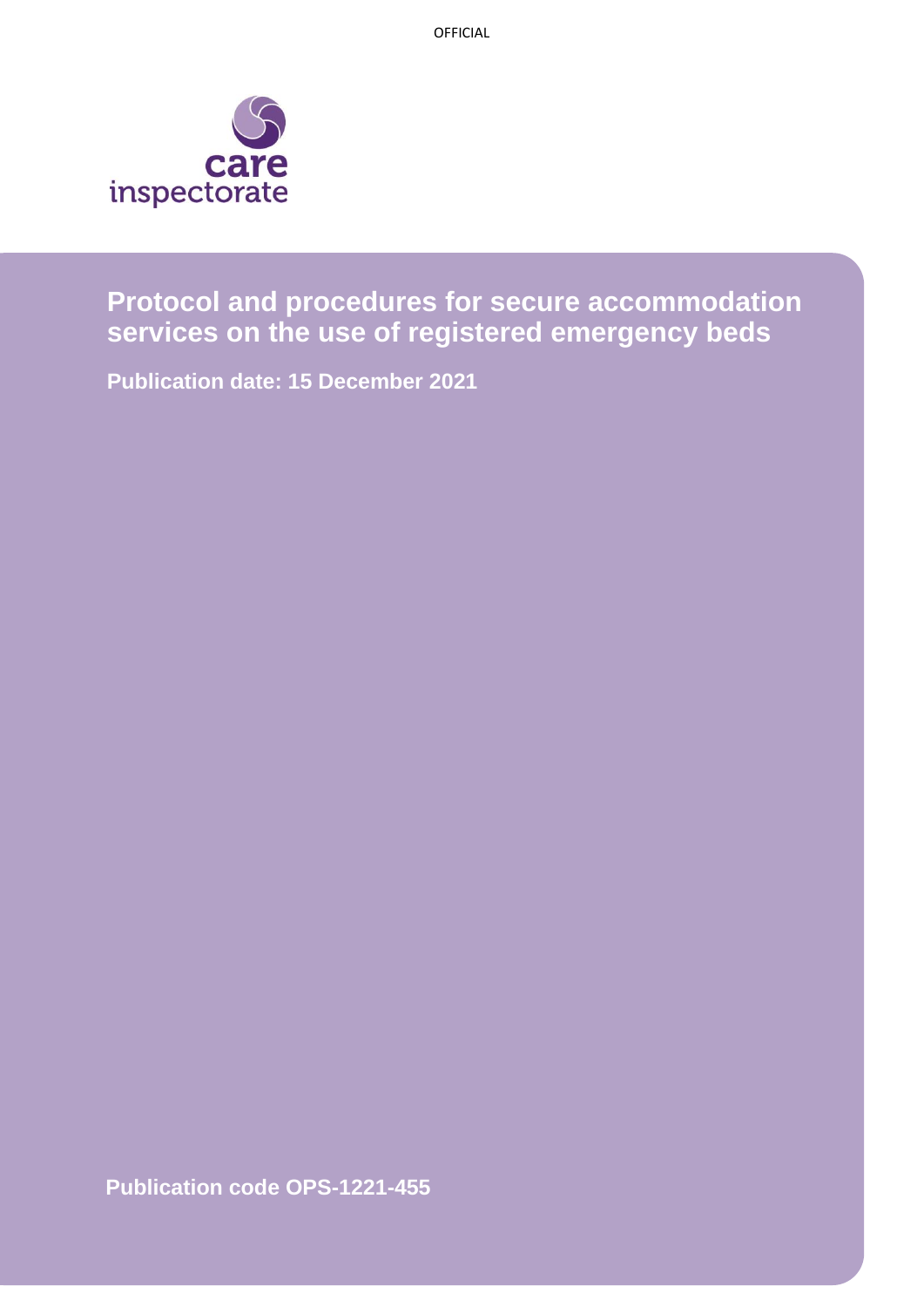

**Protocol and procedures for secure accommodation services on the use of registered emergency beds**

**Publication date: 15 December 2021**

**Publication code OPS-1221-455**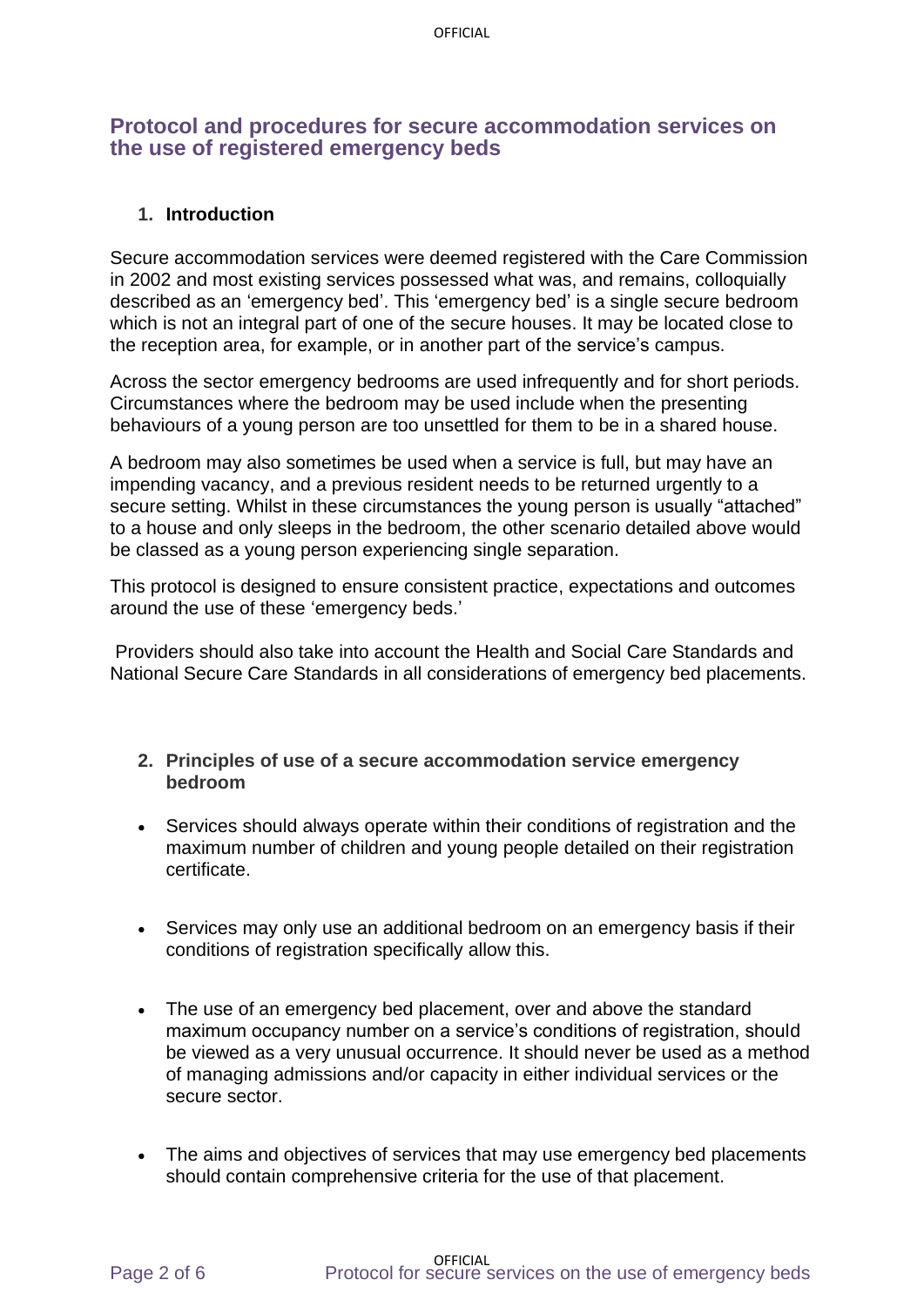## **Protocol and procedures for secure accommodation services on the use of registered emergency beds**

#### **1. Introduction**

Secure accommodation services were deemed registered with the Care Commission in 2002 and most existing services possessed what was, and remains, colloquially described as an 'emergency bed'. This 'emergency bed' is a single secure bedroom which is not an integral part of one of the secure houses. It may be located close to the reception area, for example, or in another part of the service's campus.

Across the sector emergency bedrooms are used infrequently and for short periods. Circumstances where the bedroom may be used include when the presenting behaviours of a young person are too unsettled for them to be in a shared house.

A bedroom may also sometimes be used when a service is full, but may have an impending vacancy, and a previous resident needs to be returned urgently to a secure setting. Whilst in these circumstances the young person is usually "attached" to a house and only sleeps in the bedroom, the other scenario detailed above would be classed as a young person experiencing single separation.

This protocol is designed to ensure consistent practice, expectations and outcomes around the use of these 'emergency beds.'

Providers should also take into account the Health and Social Care Standards and National Secure Care Standards in all considerations of emergency bed placements.

- **2. Principles of use of a secure accommodation service emergency bedroom**
- Services should always operate within their conditions of registration and the maximum number of children and young people detailed on their registration certificate.
- Services may only use an additional bedroom on an emergency basis if their conditions of registration specifically allow this.
- The use of an emergency bed placement, over and above the standard maximum occupancy number on a service's conditions of registration, should be viewed as a very unusual occurrence. It should never be used as a method of managing admissions and/or capacity in either individual services or the secure sector.
- The aims and objectives of services that may use emergency bed placements should contain comprehensive criteria for the use of that placement.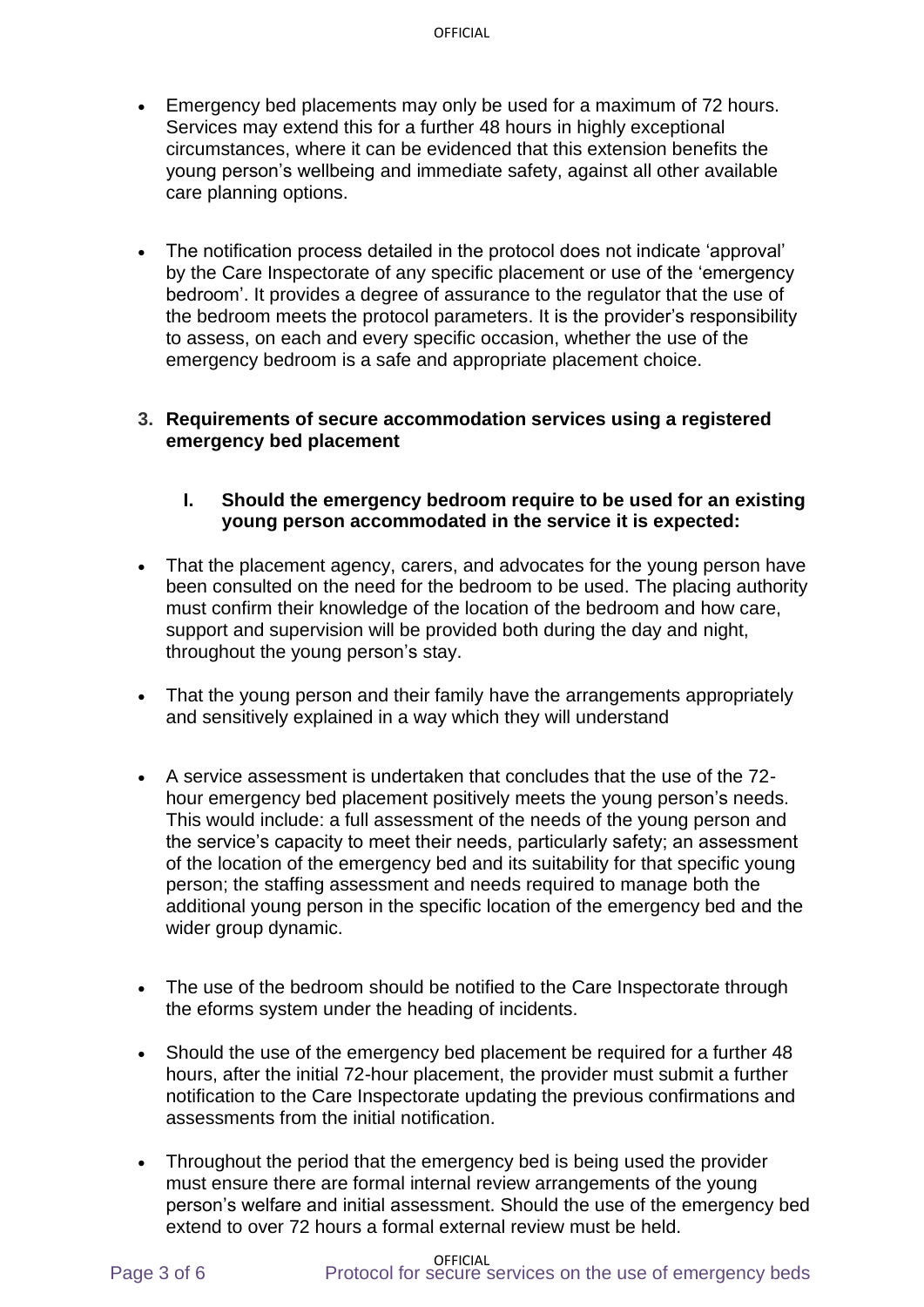- Emergency bed placements may only be used for a maximum of 72 hours. Services may extend this for a further 48 hours in highly exceptional circumstances, where it can be evidenced that this extension benefits the young person's wellbeing and immediate safety, against all other available care planning options.
- The notification process detailed in the protocol does not indicate 'approval' by the Care Inspectorate of any specific placement or use of the 'emergency bedroom'. It provides a degree of assurance to the regulator that the use of the bedroom meets the protocol parameters. It is the provider's responsibility to assess, on each and every specific occasion, whether the use of the emergency bedroom is a safe and appropriate placement choice.

#### **3. Requirements of secure accommodation services using a registered emergency bed placement**

### **I. Should the emergency bedroom require to be used for an existing young person accommodated in the service it is expected:**

- That the placement agency, carers, and advocates for the young person have been consulted on the need for the bedroom to be used. The placing authority must confirm their knowledge of the location of the bedroom and how care, support and supervision will be provided both during the day and night, throughout the young person's stay.
- That the young person and their family have the arrangements appropriately and sensitively explained in a way which they will understand
- A service assessment is undertaken that concludes that the use of the 72 hour emergency bed placement positively meets the young person's needs. This would include: a full assessment of the needs of the young person and the service's capacity to meet their needs, particularly safety; an assessment of the location of the emergency bed and its suitability for that specific young person; the staffing assessment and needs required to manage both the additional young person in the specific location of the emergency bed and the wider group dynamic.
- The use of the bedroom should be notified to the Care Inspectorate through the eforms system under the heading of incidents.
- Should the use of the emergency bed placement be required for a further 48 hours, after the initial 72-hour placement, the provider must submit a further notification to the Care Inspectorate updating the previous confirmations and assessments from the initial notification.
- Throughout the period that the emergency bed is being used the provider must ensure there are formal internal review arrangements of the young person's welfare and initial assessment. Should the use of the emergency bed extend to over 72 hours a formal external review must be held.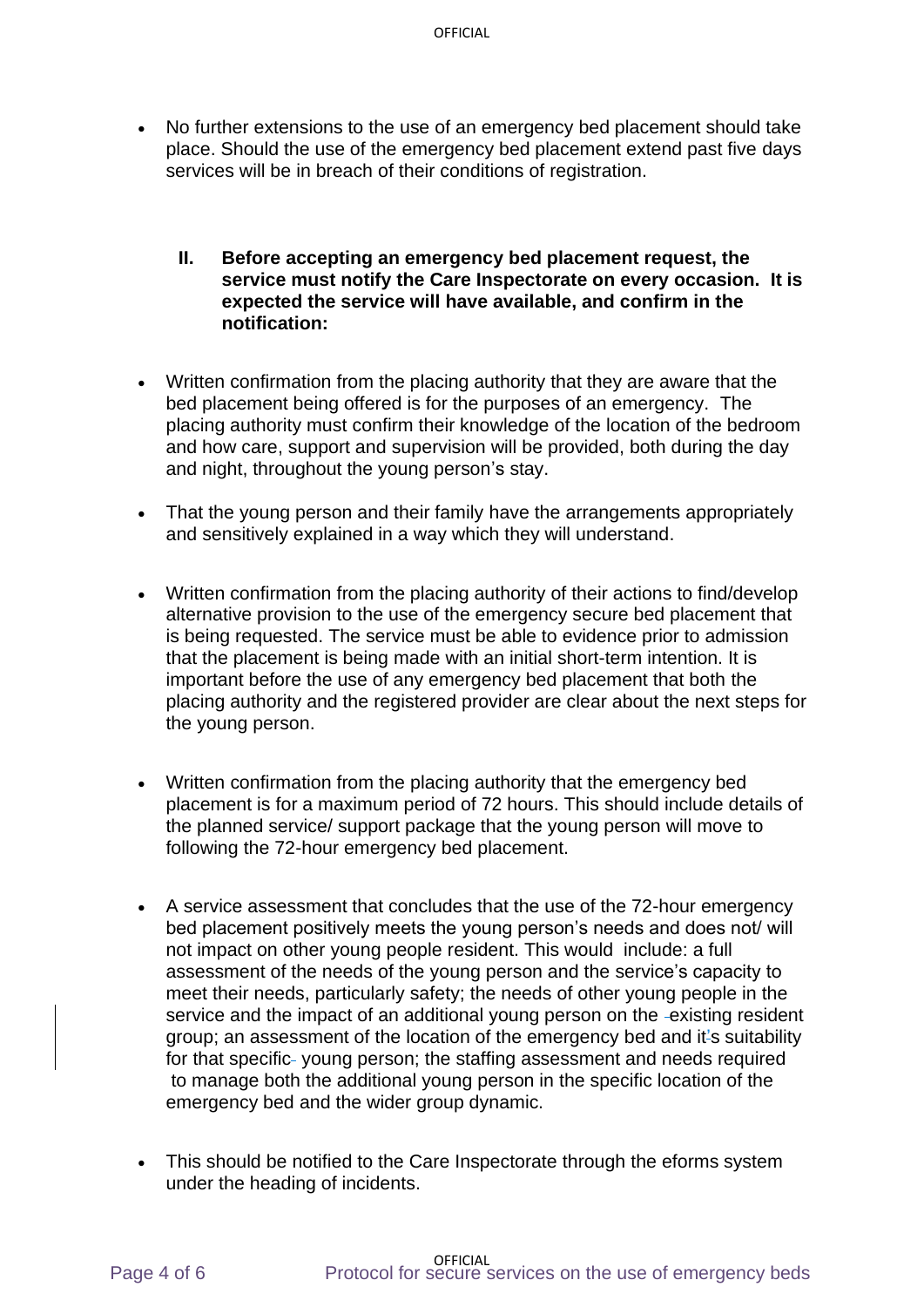- No further extensions to the use of an emergency bed placement should take place. Should the use of the emergency bed placement extend past five days services will be in breach of their conditions of registration.
	- **II. Before accepting an emergency bed placement request, the service must notify the Care Inspectorate on every occasion. It is expected the service will have available, and confirm in the notification:**
- Written confirmation from the placing authority that they are aware that the bed placement being offered is for the purposes of an emergency. The placing authority must confirm their knowledge of the location of the bedroom and how care, support and supervision will be provided, both during the day and night, throughout the young person's stay.
- That the young person and their family have the arrangements appropriately and sensitively explained in a way which they will understand.
- Written confirmation from the placing authority of their actions to find/develop alternative provision to the use of the emergency secure bed placement that is being requested. The service must be able to evidence prior to admission that the placement is being made with an initial short-term intention. It is important before the use of any emergency bed placement that both the placing authority and the registered provider are clear about the next steps for the young person.
- Written confirmation from the placing authority that the emergency bed placement is for a maximum period of 72 hours. This should include details of the planned service/ support package that the young person will move to following the 72-hour emergency bed placement.
- A service assessment that concludes that the use of the 72-hour emergency bed placement positively meets the young person's needs and does not/ will not impact on other young people resident. This would include: a full assessment of the needs of the young person and the service's capacity to meet their needs, particularly safety; the needs of other young people in the service and the impact of an additional young person on the -existing resident group; an assessment of the location of the emergency bed and it's suitability for that specific- young person; the staffing assessment and needs required to manage both the additional young person in the specific location of the emergency bed and the wider group dynamic.
- This should be notified to the Care Inspectorate through the eforms system under the heading of incidents.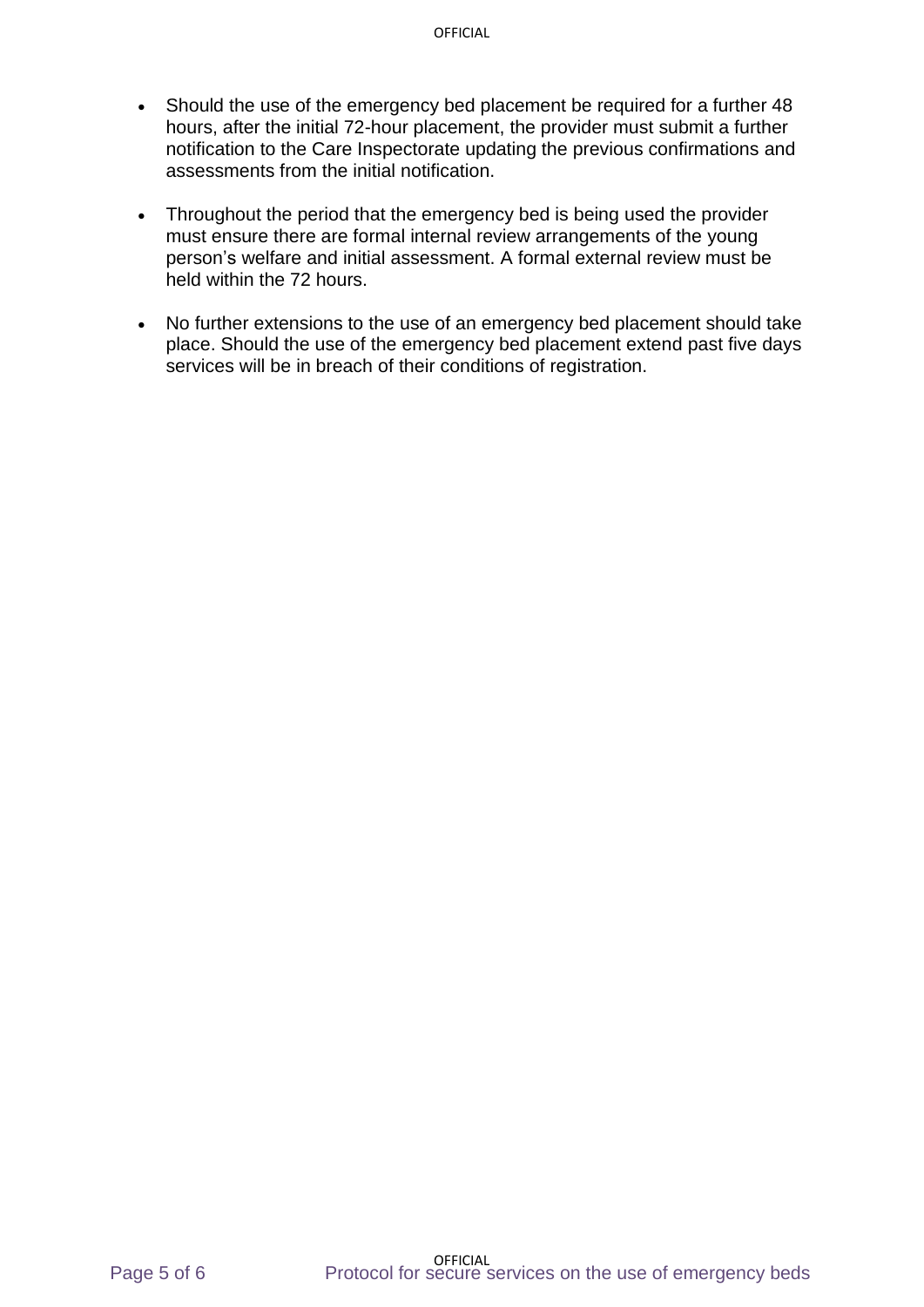- Should the use of the emergency bed placement be required for a further 48 hours, after the initial 72-hour placement, the provider must submit a further notification to the Care Inspectorate updating the previous confirmations and assessments from the initial notification.
- Throughout the period that the emergency bed is being used the provider must ensure there are formal internal review arrangements of the young person's welfare and initial assessment. A formal external review must be held within the 72 hours.
- No further extensions to the use of an emergency bed placement should take place. Should the use of the emergency bed placement extend past five days services will be in breach of their conditions of registration.